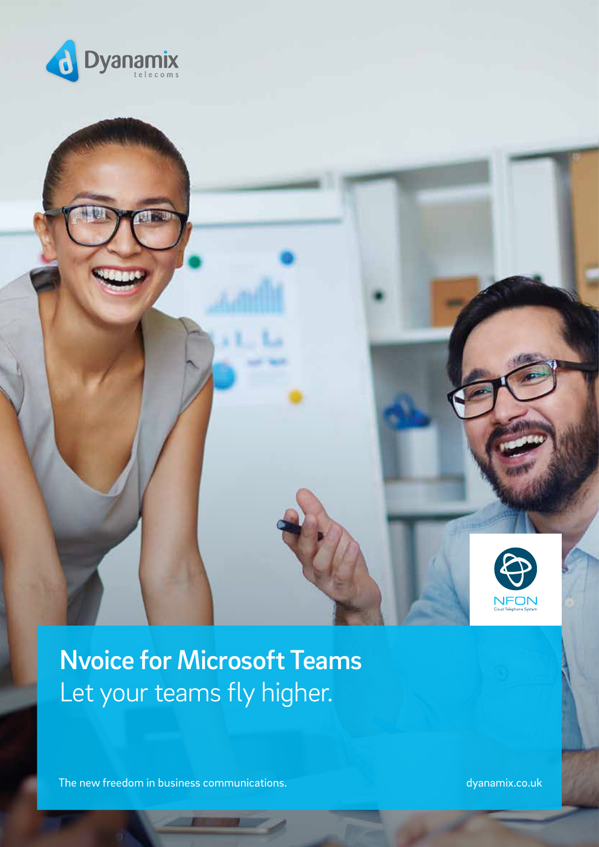



# Nvoice for Microsoft Teams Let your teams fly higher.

The new freedom in business communications. dyanamix.co.uk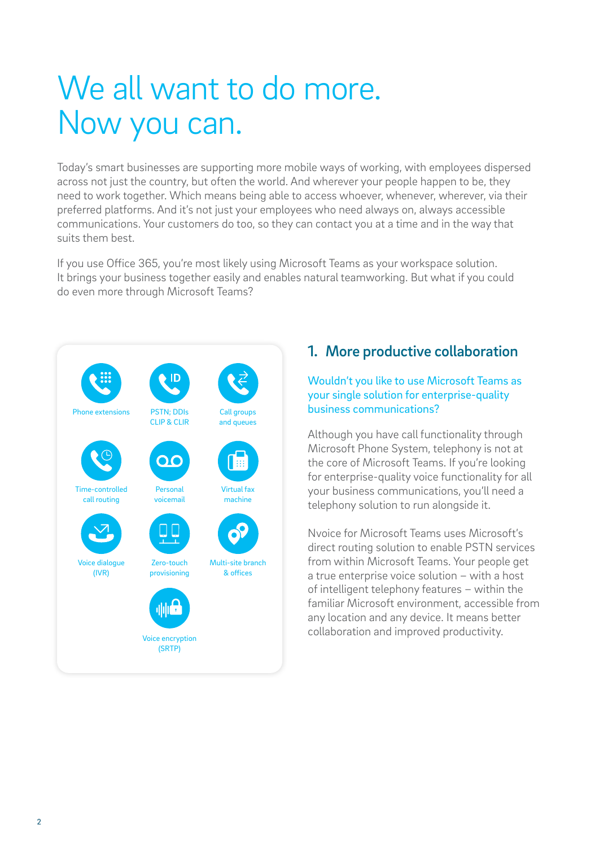# We all want to do more. Now you can.

Today's smart businesses are supporting more mobile ways of working, with employees dispersed across not just the country, but often the world. And wherever your people happen to be, they need to work together. Which means being able to access whoever, whenever, wherever, via their preferred platforms. And it's not just your employees who need always on, always accessible communications. Your customers do too, so they can contact you at a time and in the way that suits them best.

If you use Office 365, you're most likely using Microsoft Teams as your workspace solution. It brings your business together easily and enables natural teamworking. But what if you could do even more through Microsoft Teams?



## 1. More productive collaboration

#### Wouldn't you like to use Microsoft Teams as your single solution for enterprise-quality business communications?

Although you have call functionality through Microsoft Phone System, telephony is not at the core of Microsoft Teams. If you're looking for enterprise-quality voice functionality for all your business communications, you'll need a telephony solution to run alongside it.

Nvoice for Microsoft Teams uses Microsoft's direct routing solution to enable PSTN services from within Microsoft Teams. Your people get a true enterprise voice solution – with a host of intelligent telephony features – within the familiar Microsoft environment, accessible from any location and any device. It means better collaboration and improved productivity.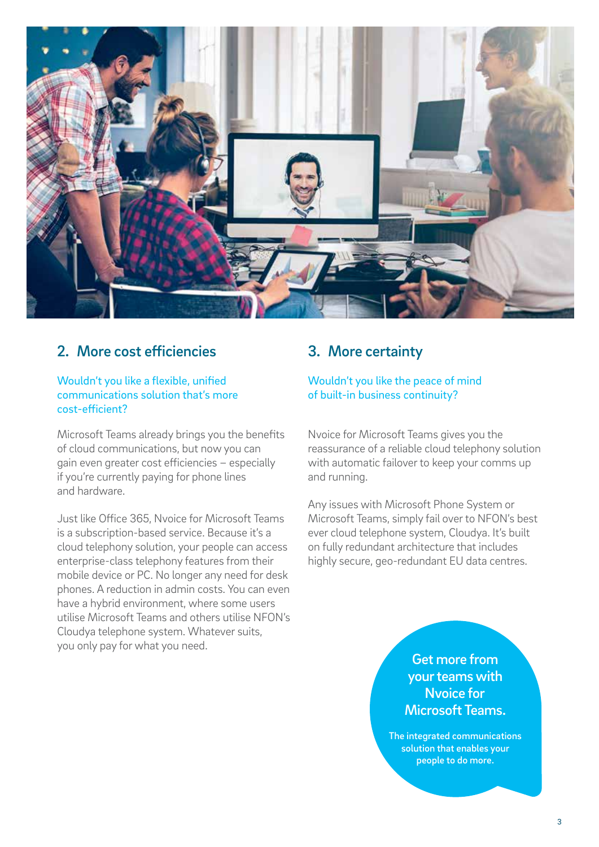

### 2. More cost efficiencies

#### Wouldn't you like a flexible, unified communications solution that's more cost-efficient?

Microsoft Teams already brings you the benefits of cloud communications, but now you can gain even greater cost efficiencies – especially if you're currently paying for phone lines and hardware.

Just like Office 365, Nvoice for Microsoft Teams is a subscription-based service. Because it's a cloud telephony solution, your people can access enterprise-class telephony features from their mobile device or PC. No longer any need for desk phones. A reduction in admin costs. You can even have a hybrid environment, where some users utilise Microsoft Teams and others utilise NFON's Cloudya telephone system. Whatever suits, you only pay for what you need.

## 3. More certainty

#### Wouldn't you like the peace of mind of built-in business continuity?

Nvoice for Microsoft Teams gives you the reassurance of a reliable cloud telephony solution with automatic failover to keep your comms up and running.

Any issues with Microsoft Phone System or Microsoft Teams, simply fail over to NFON's best ever cloud telephone system, Cloudya. It's built on fully redundant architecture that includes highly secure, geo-redundant EU data centres.

#### Get more from your teams with Nvoice for Microsoft Teams.

The integrated communications solution that enables your people to do more.